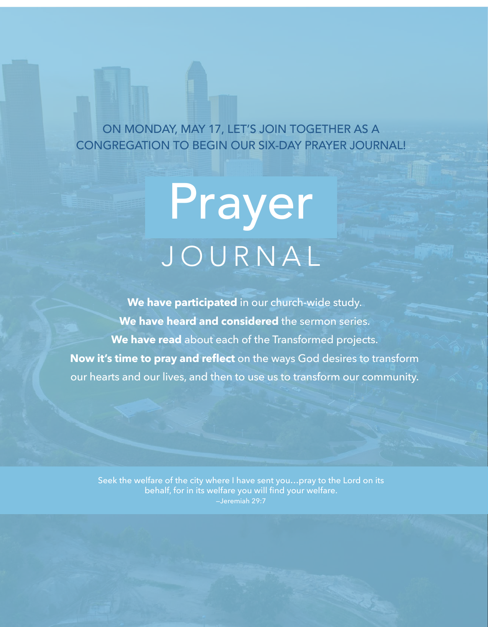ON MONDAY, MAY 17, LET'S JOIN TOGETHER AS A CONGREGATION TO BEGIN OUR SIX-DAY PRAYER JOURNAL!

# Prayer JOURNAL

**We have participated** in our church-wide study. **We have heard and considered** the sermon series. **We have read** about each of the Transformed projects. **Now it's time to pray and reflect** on the ways God desires to transform our hearts and our lives, and then to use us to transform our community.

Seek the welfare of the city where I have sent you…pray to the Lord on its behalf, for in its welfare you will find your welfare. —Jeremiah 29:7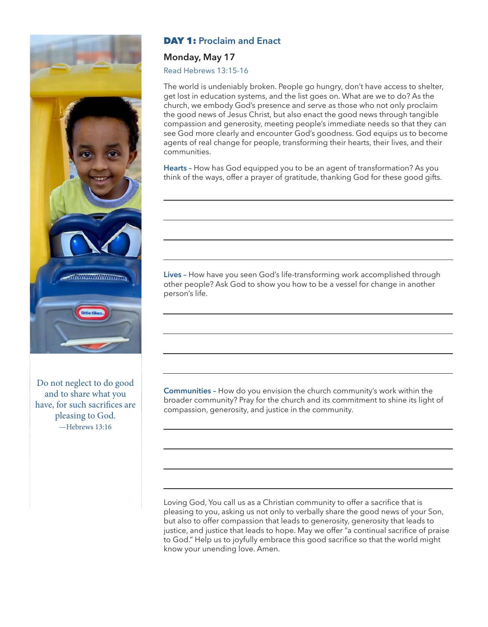

Do not neglect to do good and to share what you have, for such sacrifices are pleasing to God. —Hebrews 13:16

# DAY 1: **Proclaim and Enact**

#### **Monday, May 17**

Read Hebrews 13:15-16

The world is undeniably broken. People go hungry, don't have access to shelter, get lost in education systems, and the list goes on. What are we to do? As the church, we embody God's presence and serve as those who not only proclaim the good news of Jesus Christ, but also enact the good news through tangible compassion and generosity, meeting people's immediate needs so that they can see God more clearly and encounter God's goodness. God equips us to become agents of real change for people, transforming their hearts, their lives, and their communities.

**Hearts –** How has God equipped you to be an agent of transformation? As you think of the ways, offer a prayer of gratitude, thanking God for these good gifts.

**Lives –** How have you seen God's life-transforming work accomplished through other people? Ask God to show you how to be a vessel for change in another person's life.

**Communities –** How do you envision the church community's work within the broader community? Pray for the church and its commitment to shine its light of compassion, generosity, and justice in the community.

Loving God, You call us as a Christian community to offer a sacrifice that is pleasing to you, asking us not only to verbally share the good news of your Son, but also to offer compassion that leads to generosity, generosity that leads to justice, and justice that leads to hope. May we offer "a continual sacrifice of praise to God." Help us to joyfully embrace this good sacrifice so that the world might know your unending love. Amen.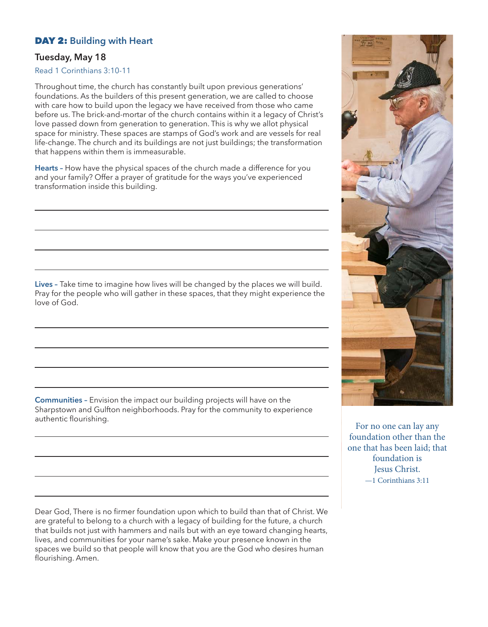## DAY 2: **Building with Heart**

#### **Tuesday, May 18**

Read 1 Corinthians 3:10-11

Throughout time, the church has constantly built upon previous generations' foundations. As the builders of this present generation, we are called to choose with care how to build upon the legacy we have received from those who came before us. The brick-and-mortar of the church contains within it a legacy of Christ's love passed down from generation to generation. This is why we allot physical space for ministry. These spaces are stamps of God's work and are vessels for real life-change. The church and its buildings are not just buildings; the transformation that happens within them is immeasurable.

**Hearts –** How have the physical spaces of the church made a difference for you and your family? Offer a prayer of gratitude for the ways you've experienced transformation inside this building.

**Lives –** Take time to imagine how lives will be changed by the places we will build. Pray for the people who will gather in these spaces, that they might experience the love of God.

**Communities –** Envision the impact our building projects will have on the Sharpstown and Gulfton neighborhoods. Pray for the community to experience authentic flourishing.

Dear God, There is no firmer foundation upon which to build than that of Christ. We are grateful to belong to a church with a legacy of building for the future, a church that builds not just with hammers and nails but with an eye toward changing hearts, lives, and communities for your name's sake. Make your presence known in the spaces we build so that people will know that you are the God who desires human flourishing. Amen.



For no one can lay any foundation other than the one that has been laid; that foundation is Jesus Christ. —1 Corinthians 3:11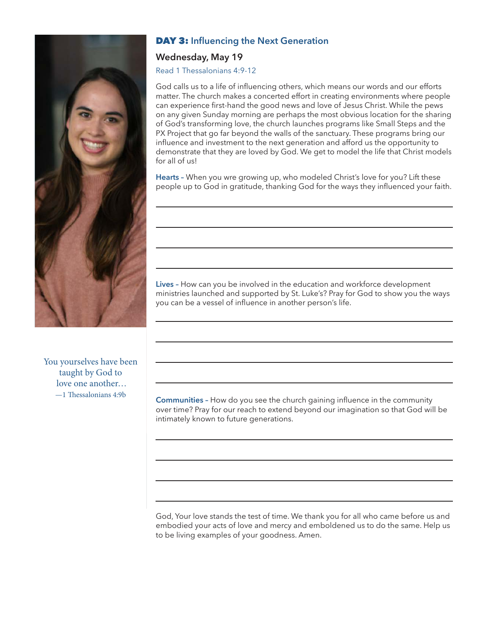

# DAY 3: **Influencing the Next Generation**

## **Wednesday, May 19**

Read 1 Thessalonians 4:9-12

God calls us to a life of influencing others, which means our words and our efforts matter. The church makes a concerted effort in creating environments where people can experience first-hand the good news and love of Jesus Christ. While the pews on any given Sunday morning are perhaps the most obvious location for the sharing of God's transforming love, the church launches programs like Small Steps and the PX Project that go far beyond the walls of the sanctuary. These programs bring our influence and investment to the next generation and afford us the opportunity to demonstrate that they are loved by God. We get to model the life that Christ models for all of us!

**Hearts –** When you wre growing up, who modeled Christ's love for you? Lift these people up to God in gratitude, thanking God for the ways they influenced your faith.

**Lives –** How can you be involved in the education and workforce development ministries launched and supported by St. Luke's? Pray for God to show you the ways you can be a vessel of influence in another person's life.

You yourselves have been taught by God to love one another… —1 Thessalonians 4:9b

**Communities –** How do you see the church gaining influence in the community over time? Pray for our reach to extend beyond our imagination so that God will be intimately known to future generations.

God, Your love stands the test of time. We thank you for all who came before us and embodied your acts of love and mercy and emboldened us to do the same. Help us to be living examples of your goodness. Amen.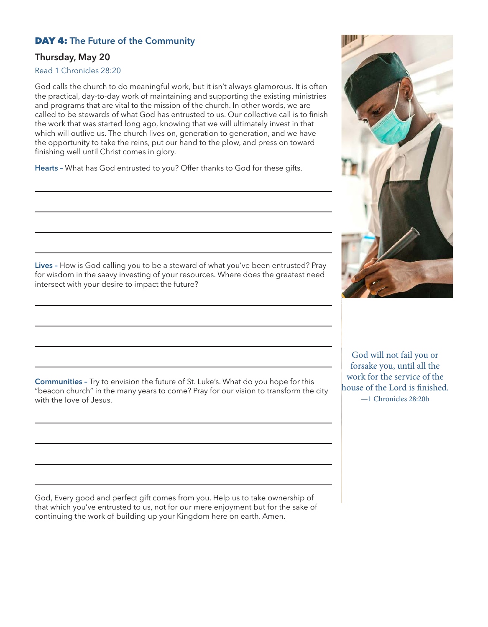## DAY 4: **The Future of the Community**

## **Thursday, May 20**

#### Read 1 Chronicles 28:20

God calls the church to do meaningful work, but it isn't always glamorous. It is often the practical, day-to-day work of maintaining and supporting the existing ministries and programs that are vital to the mission of the church. In other words, we are called to be stewards of what God has entrusted to us. Our collective call is to finish the work that was started long ago, knowing that we will ultimately invest in that which will outlive us. The church lives on, generation to generation, and we have the opportunity to take the reins, put our hand to the plow, and press on toward finishing well until Christ comes in glory.

**Hearts –** What has God entrusted to you? Offer thanks to God for these gifts.

**Lives –** How is God calling you to be a steward of what you've been entrusted? Pray for wisdom in the saavy investing of your resources. Where does the greatest need intersect with your desire to impact the future?

**Communities –** Try to envision the future of St. Luke's. What do you hope for this "beacon church" in the many years to come? Pray for our vision to transform the city with the love of Jesus.

God, Every good and perfect gift comes from you. Help us to take ownership of that which you've entrusted to us, not for our mere enjoyment but for the sake of continuing the work of building up your Kingdom here on earth. Amen.

God will not fail you or forsake you, until all the work for the service of the house of the Lord is finished. —1 Chronicles 28:20b

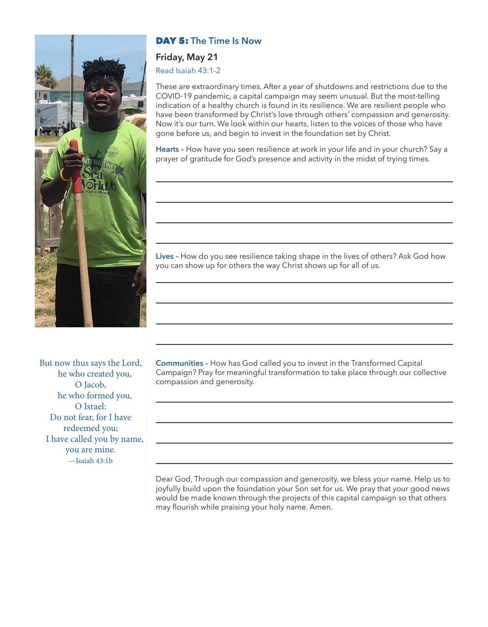

## DAY 5: **The Time Is Now**

#### **Friday, May 21**

Read Isaiah 43:1-2

These are extraordinary times. After a year of shutdowns and restrictions due to the COVID-19 pandemic, a capital campaign may seem unusual. But the most-telling indication of a healthy church is found in its resilience. We are resilient people who have been transformed by Christ's love through others' compassion and generosity. Now it's our turn. We look within our hearts, listen to the voices of those who have gone before us, and begin to invest in the foundation set by Christ.

**Hearts –** How have you seen resilience at work in your life and in your church? Say a prayer of gratitude for God's presence and activity in the midst of trying times.

**Lives –** How do you see resilience taking shape in the lives of others? Ask God how you can show up for others the way Christ shows up for all of us.

But now thus says the Lord, he who created you, O Jacob, he who formed you, O Israel: Do not fear, for I have redeemed you; I have called you by name, you are mine. —Isaiah 43:1b

**Communities –** How has God called you to invest in the Transformed Capital Campaign? Pray for meaningful transformation to take place through our collective compassion and generosity.

Dear God, Through our compassion and generosity, we bless your name. Help us to joyfully build upon the foundation your Son set for us. We pray that your good news would be made known through the projects of this capital campaign so that others may flourish while praising your holy name. Amen.